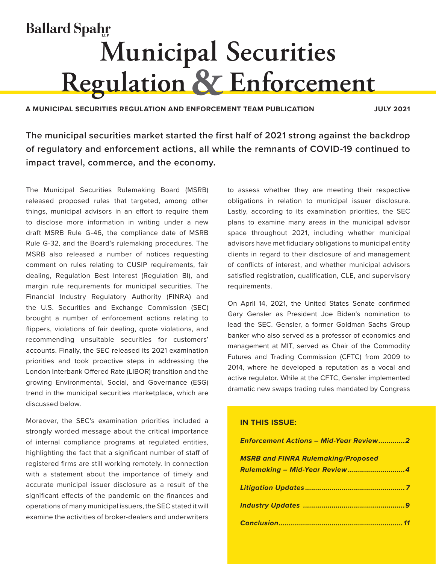# **Ballard Spahr Municipal Securities Regulation & Enforcement**

**A MUNICIPAL SECURITIES REGULATION AND ENFORCEMENT TEAM PUBLICATION JULY 2021**

**The municipal securities market started the first half of 2021 strong against the backdrop of regulatory and enforcement actions, all while the remnants of COVID-19 continued to impact travel, commerce, and the economy.**

The Municipal Securities Rulemaking Board (MSRB) released proposed rules that targeted, among other things, municipal advisors in an effort to require them to disclose more information in writing under a new draft MSRB Rule G-46, the compliance date of MSRB Rule G-32, and the Board's rulemaking procedures. The MSRB also released a number of notices requesting comment on rules relating to CUSIP requirements, fair dealing, Regulation Best Interest (Regulation BI), and margin rule requirements for municipal securities. The Financial Industry Regulatory Authority (FINRA) and the U.S. Securities and Exchange Commission (SEC) brought a number of enforcement actions relating to flippers, violations of fair dealing, quote violations, and recommending unsuitable securities for customers' accounts. Finally, the SEC released its 2021 examination priorities and took proactive steps in addressing the London Interbank Offered Rate (LIBOR) transition and the growing Environmental, Social, and Governance (ESG) trend in the municipal securities marketplace, which are discussed below.

Moreover, the SEC's examination priorities included a strongly worded message about the critical importance of internal compliance programs at regulated entities, highlighting the fact that a significant number of staff of registered firms are still working remotely. In connection with a statement about the importance of timely and accurate municipal issuer disclosure as a result of the significant effects of the pandemic on the finances and operations of many municipal issuers, the SEC stated it will examine the activities of broker-dealers and underwriters

to assess whether they are meeting their respective obligations in relation to municipal issuer disclosure. Lastly, according to its examination priorities, the SEC plans to examine many areas in the municipal advisor space throughout 2021, including whether municipal advisors have met fiduciary obligations to municipal entity clients in regard to their disclosure of and management of conflicts of interest, and whether municipal advisors satisfied registration, qualification, CLE, and supervisory requirements.

On April 14, 2021, the United States Senate confirmed Gary Gensler as President Joe Biden's nomination to lead the SEC. Gensler, a former Goldman Sachs Group banker who also served as a professor of economics and management at MIT, served as Chair of the Commodity Futures and Trading Commission (CFTC) from 2009 to 2014, where he developed a reputation as a vocal and active regulator. While at the CFTC, Gensler implemented dramatic new swaps trading rules mandated by Congress

#### **IN THIS ISSUE:**

| <b>Enforcement Actions - Mid-Year Review2</b> |
|-----------------------------------------------|
| <b>MSRB and FINRA Rulemaking/Proposed</b>     |
| Rulemaking - Mid-Year Review4                 |
|                                               |
|                                               |
|                                               |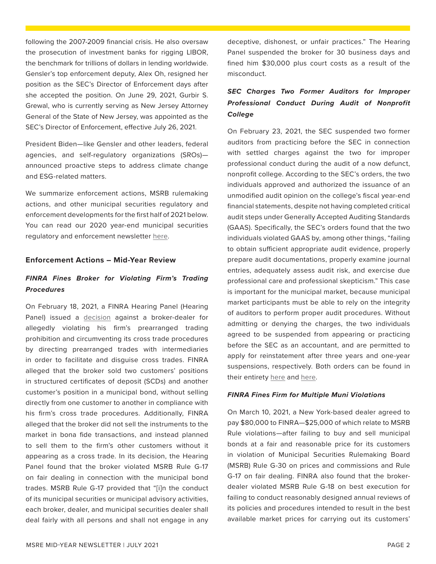<span id="page-1-0"></span>following the 2007-2009 financial crisis. He also oversaw the prosecution of investment banks for rigging LIBOR, the benchmark for trillions of dollars in lending worldwide. Gensler's top enforcement deputy, Alex Oh, resigned her position as the SEC's Director of Enforcement days after she accepted the position. On June 29, 2021, Gurbir S. Grewal, who is currently serving as New Jersey Attorney General of the State of New Jersey, was appointed as the SEC's Director of Enforcement, effective July 26, 2021.

President Biden—like Gensler and other leaders, federal agencies, and self-regulatory organizations (SROs) announced proactive steps to address climate change and ESG-related matters.

We summarize enforcement actions, MSRB rulemaking actions, and other municipal securities regulatory and enforcement developments for the first half of 2021 below. You can read our 2020 year-end municipal securities regulatory and enforcement newsletter [here.](https://www.ballardspahr.com/-/media/Main/Newsletters/Municipal-Market-Enforcement---01-27-21.pdf?rev=906138a1a32b41ae88d41caf4c71567d)

#### **Enforcement Actions – Mid-Year Review**

## *FINRA Fines Broker for Violating Firm's Trading Procedures*

On February 18, 2021, a FINRA Hearing Panel (Hearing Panel) issued a [decision](https://www.finra.org/sites/default/files/2021-03/OHO_Mantei_2015045257501_021721.pdf) against a broker-dealer for allegedly violating his firm's prearranged trading prohibition and circumventing its cross trade procedures by directing prearranged trades with intermediaries in order to facilitate and disguise cross trades. FINRA alleged that the broker sold two customers' positions in structured certificates of deposit (SCDs) and another customer's position in a municipal bond, without selling directly from one customer to another in compliance with his firm's cross trade procedures. Additionally, FINRA alleged that the broker did not sell the instruments to the market in bona fide transactions, and instead planned to sell them to the firm's other customers without it appearing as a cross trade. In its decision, the Hearing Panel found that the broker violated MSRB Rule G-17 on fair dealing in connection with the municipal bond trades. MSRB Rule G-17 provided that "[i]n the conduct of its municipal securities or municipal advisory activities, each broker, dealer, and municipal securities dealer shall deal fairly with all persons and shall not engage in any

deceptive, dishonest, or unfair practices." The Hearing Panel suspended the broker for 30 business days and fined him \$30,000 plus court costs as a result of the misconduct.

# *SEC Charges Two Former Auditors for Improper Professional Conduct During Audit of Nonprofit College*

On February 23, 2021, the SEC suspended two former auditors from practicing before the SEC in connection with settled charges against the two for improper professional conduct during the audit of a now defunct, nonprofit college. According to the SEC's orders, the two individuals approved and authorized the issuance of an unmodified audit opinion on the college's fiscal year-end financial statements, despite not having completed critical audit steps under Generally Accepted Auditing Standards (GAAS). Specifically, the SEC's orders found that the two individuals violated GAAS by, among other things, "failing to obtain sufficient appropriate audit evidence, properly prepare audit documentations, properly examine journal entries, adequately assess audit risk, and exercise due professional care and professional skepticism." This case is important for the municipal market, because municipal market participants must be able to rely on the integrity of auditors to perform proper audit procedures. Without admitting or denying the charges, the two individuals agreed to be suspended from appearing or practicing before the SEC as an accountant, and are permitted to apply for reinstatement after three years and one-year suspensions, respectively. Both orders can be found in their entirety [here](https://www.sec.gov/litigation/admin/2021/34-91185.pdf) and [here](https://www.sec.gov/litigation/admin/2021/34-91186.pdf).

#### *FINRA Fines Firm for Multiple Muni Violations*

On March 10, 2021, a New York-based dealer agreed to pay \$80,000 to FINRA—\$25,000 of which relate to MSRB Rule violations—after failing to buy and sell municipal bonds at a fair and reasonable price for its customers in violation of Municipal Securities Rulemaking Board (MSRB) Rule G-30 on prices and commissions and Rule G-17 on fair dealing. FINRA also found that the brokerdealer violated MSRB Rule G-18 on best execution for failing to conduct reasonably designed annual reviews of its policies and procedures intended to result in the best available market prices for carrying out its customers'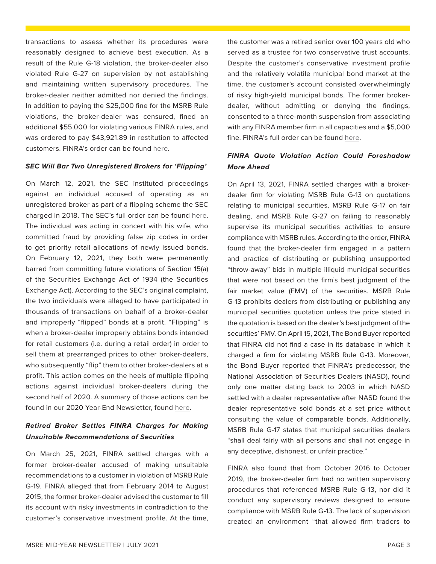transactions to assess whether its procedures were reasonably designed to achieve best execution. As a result of the Rule G-18 violation, the broker-dealer also violated Rule G-27 on supervision by not establishing and maintaining written supervisory procedures. The broker-dealer neither admitted nor denied the findings. In addition to paying the \$25,000 fine for the MSRB Rule violations, the broker-dealer was censured, fined an additional \$55,000 for violating various FINRA rules, and was ordered to pay \$43,921.89 in restitution to affected customers. FINRA's order can be found [here.](https://www.finra.org/sites/default/files/fda_documents/2017054188601%20Aegis%20Capital%20Corp.%20CRD%2015007%20AWC%20jlg%20%282021-1618100403356%29.pdf)

#### *SEC Will Bar Two Unregistered Brokers for 'Flipping'*

On March 12, 2021, the SEC instituted proceedings against an individual accused of operating as an unregistered broker as part of a flipping scheme the SEC charged in 2018. The SEC's full order can be found [here](https://www.sec.gov/litigation/admin/2021/34-91310.pdf). The individual was acting in concert with his wife, who committed fraud by providing false zip codes in order to get priority retail allocations of newly issued bonds. On February 12, 2021, they both were permanently barred from committing future violations of Section 15(a) of the Securities Exchange Act of 1934 (the Securities Exchange Act). According to the SEC's original complaint, the two individuals were alleged to have participated in thousands of transactions on behalf of a broker-dealer and improperly "flipped" bonds at a profit. "Flipping" is when a broker-dealer improperly obtains bonds intended for retail customers (i.e. during a retail order) in order to sell them at prearranged prices to other broker-dealers, who subsequently "flip" them to other broker-dealers at a profit. This action comes on the heels of multiple flipping actions against individual broker-dealers during the second half of 2020. A summary of those actions can be found in our 2020 Year-End Newsletter, found [here](https://www.ballardspahr.com/-/media/Main/Newsletters/Municipal-Market-Enforcement---01-27-21.pdf?rev=906138a1a32b41ae88d41caf4c71567d).

# *Retired Broker Settles FINRA Charges for Making Unsuitable Recommendations of Securities*

On March 25, 2021, FINRA settled charges with a former broker-dealer accused of making unsuitable recommendations to a customer in violation of MSRB Rule G-19. FINRA alleged that from February 2014 to August 2015, the former broker-dealer advised the customer to fill its account with risky investments in contradiction to the customer's conservative investment profile. At the time, the customer was a retired senior over 100 years old who served as a trustee for two conservative trust accounts. Despite the customer's conservative investment profile and the relatively volatile municipal bond market at the time, the customer's account consisted overwhelmingly of risky high-yield municipal bonds. The former brokerdealer, without admitting or denying the findings, consented to a three-month suspension from associating with any FINRA member firm in all capacities and a \$5,000 fine. FINRA's full order can be found [here.](https://www.finra.org/sites/default/files/fda_documents/2017054432701%20Jeffrey%20Fladell%20CRD%20209278%20AWC%20jlg%20%282021-1619396404147%29.pdf)

### *FINRA Quote Violation Action Could Foreshadow More Ahead*

On April 13, 2021, FINRA settled charges with a brokerdealer firm for violating MSRB Rule G-13 on quotations relating to municipal securities, MSRB Rule G-17 on fair dealing, and MSRB Rule G-27 on failing to reasonably supervise its municipal securities activities to ensure compliance with MSRB rules. According to the order, FINRA found that the broker-dealer firm engaged in a pattern and practice of distributing or publishing unsupported "throw-away" bids in multiple illiquid municipal securities that were not based on the firm's best judgment of the fair market value (FMV) of the securities. MSRB Rule G-13 prohibits dealers from distributing or publishing any municipal securities quotation unless the price stated in the quotation is based on the dealer's best judgment of the securities' FMV. On April 15, 2021, The Bond Buyer reported that FINRA did not find a case in its database in which it charged a firm for violating MSRB Rule G-13. Moreover, the Bond Buyer reported that FINRA's predecessor, the National Association of Securities Dealers (NASD), found only one matter dating back to 2003 in which NASD settled with a dealer representative after NASD found the dealer representative sold bonds at a set price without consulting the value of comparable bonds. Additionally, MSRB Rule G-17 states that municipal securities dealers "shall deal fairly with all persons and shall not engage in any deceptive, dishonest, or unfair practice."

FINRA also found that from October 2016 to October 2019, the broker-dealer firm had no written supervisory procedures that referenced MSRB Rule G-13, nor did it conduct any supervisory reviews designed to ensure compliance with MSRB Rule G-13. The lack of supervision created an environment "that allowed firm traders to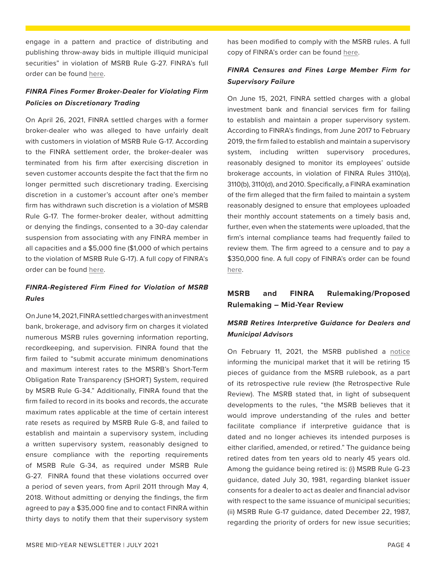<span id="page-3-0"></span>engage in a pattern and practice of distributing and publishing throw-away bids in multiple illiquid municipal securities" in violation of MSRB Rule G-27. FINRA's full order can be found [here.](https://www.finra.org/sites/default/files/fda_documents/2016052118001%20NatAlliance%20Securities%2C%20LLC%20CRD%2039455%20AWC%20sl%20%282021-1621037998800%29.pdf)

### *FINRA Fines Former Broker-Dealer for Violating Firm Policies on Discretionary Trading*

On April 26, 2021, FINRA settled charges with a former broker-dealer who was alleged to have unfairly dealt with customers in violation of MSRB Rule G-17. According to the FINRA settlement order, the broker-dealer was terminated from his firm after exercising discretion in seven customer accounts despite the fact that the firm no longer permitted such discretionary trading. Exercising discretion in a customer's account after one's member firm has withdrawn such discretion is a violation of MSRB Rule G-17. The former-broker dealer, without admitting or denying the findings, consented to a 30-day calendar suspension from associating with any FINRA member in all capacities and a \$5,000 fine (\$1,000 of which pertains to the violation of MSRB Rule G-17). A full copy of FINRA's order can be found [here.](https://www.finra.org/sites/default/files/fda_documents/2019062788601%20Constantinos%20Maniatis%20CRD%204253356%20AWC%20va%20%282021-1622161203529%29.pdf)

## *FINRA-Registered Firm Fined for Violation of MSRB Rules*

On June 14, 2021, FINRA settled charges with an investment bank, brokerage, and advisory firm on charges it violated numerous MSRB rules governing information reporting, recordkeeping, and supervision. FINRA found that the firm failed to "submit accurate minimum denominations and maximum interest rates to the MSRB's Short-Term Obligation Rate Transparency (SHORT) System, required by MSRB Rule G-34." Additionally, FINRA found that the firm failed to record in its books and records, the accurate maximum rates applicable at the time of certain interest rate resets as required by MSRB Rule G-8, and failed to establish and maintain a supervisory system, including a written supervisory system, reasonably designed to ensure compliance with the reporting requirements of MSRB Rule G-34, as required under MSRB Rule G-27. FINRA found that these violations occurred over a period of seven years, from April 2011 through May 4, 2018. Without admitting or denying the findings, the firm agreed to pay a \$35,000 fine and to contact FINRA within thirty days to notify them that their supervisory system has been modified to comply with the MSRB rules. A full copy of FINRA's order can be found [here.](https://www.finra.org/sites/default/files/fda_documents/2018057742101%20Samuel%20A%20Ramirez%20%26%20Co.%2C%20Inc.%20CRD%206963%20AWC%20va.pdf)

## *FINRA Censures and Fines Large Member Firm for Supervisory Failure*

On June 15, 2021, FINRA settled charges with a global investment bank and financial services firm for failing to establish and maintain a proper supervisory system. According to FINRA's findings, from June 2017 to February 2019, the firm failed to establish and maintain a supervisory system, including written supervisory procedures, reasonably designed to monitor its employees' outside brokerage accounts, in violation of FINRA Rules 3110(a), 3110(b), 3110(d), and 2010. Specifically, a FINRA examination of the firm alleged that the firm failed to maintain a system reasonably designed to ensure that employees uploaded their monthly account statements on a timely basis and, further, even when the statements were uploaded, that the firm's internal compliance teams had frequently failed to review them. The firm agreed to a censure and to pay a \$350,000 fine. A full copy of FINRA's order can be found [here.](https://www.finra.org/sites/default/files/fda_documents/2019064316401%20Citigroup%20Global%20Markets%20Inc.%20CRD%207059%20AWC%20sl.pdf)

# **MSRB and FINRA Rulemaking/Proposed Rulemaking – Mid-Year Review**

# *MSRB Retires Interpretive Guidance for Dealers and Municipal Advisors*

On February 11, 2021, the MSRB published a [notice](https://www.msrb.org/~/media/Files/Regulatory-Notices/Announcements/2021-02.ashx??n=1) informing the municipal market that it will be retiring 15 pieces of guidance from the MSRB rulebook, as a part of its retrospective rule review (the Retrospective Rule Review). The MSRB stated that, in light of subsequent developments to the rules, "the MSRB believes that it would improve understanding of the rules and better facilitate compliance if interpretive guidance that is dated and no longer achieves its intended purposes is either clarified, amended, or retired." The guidance being retired dates from ten years old to nearly 45 years old. Among the guidance being retired is: (i) MSRB Rule G-23 guidance, dated July 30, 1981, regarding blanket issuer consents for a dealer to act as dealer and financial advisor with respect to the same issuance of municipal securities; (ii) MSRB Rule G-17 guidance, dated December 22, 1987, regarding the priority of orders for new issue securities;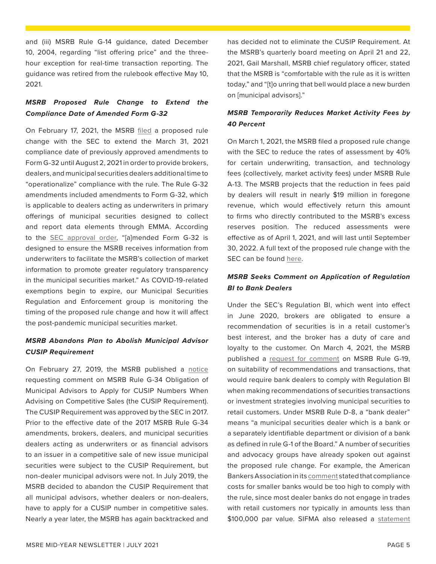and (iii) MSRB Rule G-14 guidance, dated December 10, 2004, regarding "list offering price" and the threehour exception for real-time transaction reporting. The guidance was retired from the rulebook effective May 10, 2021.

# *MSRB Proposed Rule Change to Extend the Compliance Date of Amended Form G-32*

On February 17, 2021, the MSRB [filed](https://www.msrb.org/-/media/Files/SEC-Filings/2021/MSRB-2021-01.ashx) a proposed rule change with the SEC to extend the March 31, 2021 compliance date of previously approved amendments to Form G-32 until August 2, 2021 in order to provide brokers, dealers, and municipal securities dealers additional time to "operationalize" compliance with the rule. The Rule G-32 amendments included amendments to Form G-32, which is applicable to dealers acting as underwriters in primary offerings of municipal securities designed to collect and report data elements through EMMA. According to the [SEC approval order,](https://www.sec.gov/rules/sro/msrb/2021/34-91175.pdf) "[a]mended Form G-32 is designed to ensure the MSRB receives information from underwriters to facilitate the MSRB's collection of market information to promote greater regulatory transparency in the municipal securities market." As COVID-19-related exemptions begin to expire, our Municipal Securities Regulation and Enforcement group is monitoring the timing of the proposed rule change and how it will affect the post-pandemic municipal securities market.

# *MSRB Abandons Plan to Abolish Municipal Advisor CUSIP Requirement*

On February 27, 2019, the MSRB published a [notice](http://www.cecouncil.com/media/266572/msrb-2019-08.pdf) requesting comment on MSRB Rule G-34 Obligation of Municipal Advisors to Apply for CUSIP Numbers When Advising on Competitive Sales (the CUSIP Requirement). The CUSIP Requirement was approved by the SEC in 2017. Prior to the effective date of the 2017 MSRB Rule G-34 amendments, brokers, dealers, and municipal securities dealers acting as underwriters or as financial advisors to an issuer in a competitive sale of new issue municipal securities were subject to the CUSIP Requirement, but non-dealer municipal advisors were not. In July 2019, the MSRB decided to abandon the CUSIP Requirement that all municipal advisors, whether dealers or non-dealers, have to apply for a CUSIP number in competitive sales. Nearly a year later, the MSRB has again backtracked and

has decided not to eliminate the CUSIP Requirement. At the MSRB's quarterly board meeting on April 21 and 22, 2021, Gail Marshall, MSRB chief regulatory officer, stated that the MSRB is "comfortable with the rule as it is written today," and "[t]o unring that bell would place a new burden on [municipal advisors]."

## *MSRB Temporarily Reduces Market Activity Fees by 40 Percent*

On March 1, 2021, the MSRB filed a proposed rule change with the SEC to reduce the rates of assessment by 40% for certain underwriting, transaction, and technology fees (collectively, market activity fees) under MSRB Rule A-13. The MSRB projects that the reduction in fees paid by dealers will result in nearly \$19 million in foregone revenue, which would effectively return this amount to firms who directly contributed to the MSRB's excess reserves position. The reduced assessments were effective as of April 1, 2021, and will last until September 30, 2022. A full text of the proposed rule change with the SEC can be found [here](https://www.sec.gov/rules/sro/msrb/2021/34-91247.pdf).

## *MSRB Seeks Comment on Application of Regulation BI to Bank Dealers*

Under the SEC's Regulation BI, which went into effect in June 2020, brokers are obligated to ensure a recommendation of securities is in a retail customer's best interest, and the broker has a duty of care and loyalty to the customer. On March 4, 2021, the MSRB published a [request for comment](https://www.msrb.org/~/media/Files/Regulatory-Notices/RFCs/2021-06.ashx??n=1) on MSRB Rule G-19, on suitability of recommendations and transactions, that would require bank dealers to comply with Regulation BI when making recommendations of securities transactions or investment strategies involving municipal securities to retail customers. Under MSRB Rule D-8, a "bank dealer" means "a municipal securities dealer which is a bank or a separately identifiable department or division of a bank as defined in rule G-1 of the Board." A number of securities and advocacy groups have already spoken out against the proposed rule change. For example, the American Bankers Association in its comment stated that compliance costs for smaller banks would be too high to comply with the rule, since most dealer banks do not engage in trades with retail customers nor typically in amounts less than \$100,000 par value. SIFMA also released a [statement](https://www.sifma.org/wp-content/uploads/2021/06/SIFMA-Letter-to-MSRB-on-Reg-BI-Implementation-v.4-final.pdf)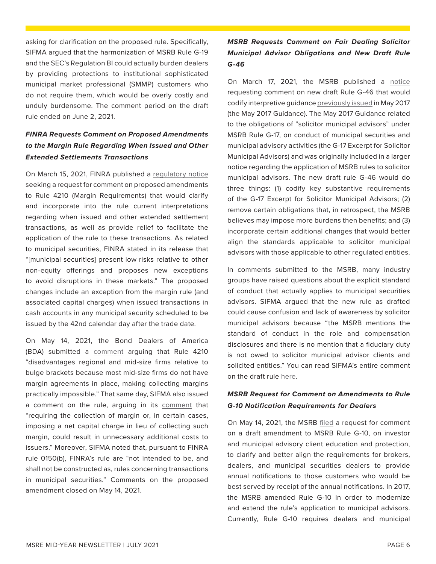asking for clarification on the proposed rule. Specifically, SIFMA argued that the harmonization of MSRB Rule G-19 and the SEC's Regulation BI could actually burden dealers by providing protections to institutional sophisticated municipal market professional (SMMP) customers who do not require them, which would be overly costly and unduly burdensome. The comment period on the draft rule ended on June 2, 2021.

# *FINRA Requests Comment on Proposed Amendments to the Margin Rule Regarding When Issued and Other Extended Settlements Transactions*

On March 15, 2021, FINRA published a [regulatory notice](https://www.finra.org/sites/default/files/2021-03/Regulatory-Notice-21-11.pdf) seeking a request for comment on proposed amendments to Rule 4210 (Margin Requirements) that would clarify and incorporate into the rule current interpretations regarding when issued and other extended settlement transactions, as well as provide relief to facilitate the application of the rule to these transactions. As related to municipal securities, FINRA stated in its release that "[municipal securities] present low risks relative to other non-equity offerings and proposes new exceptions to avoid disruptions in these markets." The proposed changes include an exception from the margin rule (and associated capital charges) when issued transactions in cash accounts in any municipal security scheduled to be issued by the 42nd calendar day after the trade date.

On May 14, 2021, the Bond Dealers of America (BDA) submitted a [comment](https://d31hzlhk6di2h5.cloudfront.net/20210514/06/10/ac/96/922dfb7512d0c7d7fc3ed3e7/4210_Ltr_May2021_final.pdf) arguing that Rule 4210 "disadvantages regional and mid-size firms relative to bulge brackets because most mid-size firms do not have margin agreements in place, making collecting margins practically impossible." That same day, SIFMA also issued a comment on the rule, arguing in its [comment](https://www.sifma.org/wp-content/uploads/2021/05/SIFMA-Response-to-FINRA-RN-21-11.pdf) that "requiring the collection of margin or, in certain cases, imposing a net capital charge in lieu of collecting such margin, could result in unnecessary additional costs to issuers." Moreover, SIFMA noted that, pursuant to FINRA rule 0150(b), FINRA's rule are "not intended to be, and shall not be constructed as, rules concerning transactions in municipal securities." Comments on the proposed amendment closed on May 14, 2021.

# *MSRB Requests Comment on Fair Dealing Solicitor Municipal Advisor Obligations and New Draft Rule G-46*

On March 17, 2021, the MSRB published a [notice](http://www.cecouncil.com/media/266813/msrb-regulatory-notice-21-07.pdf) requesting comment on new draft Rule G-46 that would codify interpretive guidance [previously issued](https://msrb.org/~/media/Files/Regulatory-Notices/Announcements/2017-08.ashx) in May 2017 (the May 2017 Guidance). The May 2017 Guidance related to the obligations of "solicitor municipal advisors" under MSRB Rule G-17, on conduct of municipal securities and municipal advisory activities (the G-17 Excerpt for Solicitor Municipal Advisors) and was originally included in a larger notice regarding the application of MSRB rules to solicitor municipal advisors. The new draft rule G-46 would do three things: (1) codify key substantive requirements of the G-17 Excerpt for Solicitor Municipal Advisors; (2) remove certain obligations that, in retrospect, the MSRB believes may impose more burdens then benefits; and (3) incorporate certain additional changes that would better align the standards applicable to solicitor municipal advisors with those applicable to other regulated entities.

In comments submitted to the MSRB, many industry groups have raised questions about the explicit standard of conduct that actually applies to municipal securities advisors. SIFMA argued that the new rule as drafted could cause confusion and lack of awareness by solicitor municipal advisors because "the MSRB mentions the standard of conduct in the role and compensation disclosures and there is no mention that a fiduciary duty is not owed to solicitor municipal advisor clients and solicited entities." You can read SIFMA's entire comment on the draft rule [here](https://www.sifma.org/wp-content/uploads/2021/06/MSRB-Notice-2021-07-Request-for-Comment-on-Fair-Dealing-Solicitor-Municipal-Advisor-Obligations-and-New-Draft-Rule-G-46.pdf).

## *MSRB Request for Comment on Amendments to Rule G-10 Notification Requirements for Dealers*

On May 14, 2021, the MSRB [filed](https://msrb.org/Rules-and-Interpretations/MSRB-Rules/General/~/media/DB498D23090B4677800BA1C7B1D3AAAD.ashx) a request for comment on a draft amendment to MSRB Rule G-10, on investor and municipal advisory client education and protection, to clarify and better align the requirements for brokers, dealers, and municipal securities dealers to provide annual notifications to those customers who would be best served by receipt of the annual notifications. In 2017, the MSRB amended Rule G-10 in order to modernize and extend the rule's application to municipal advisors. Currently, Rule G-10 requires dealers and municipal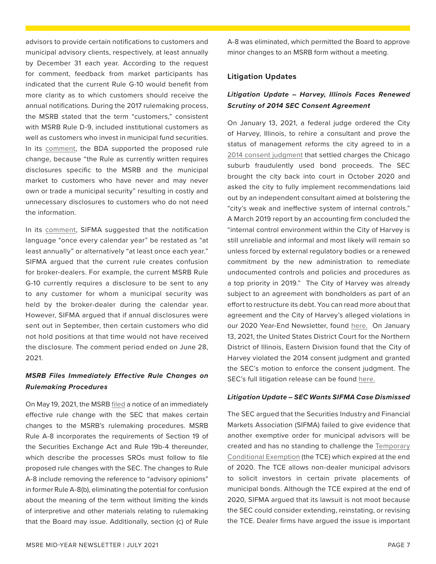by December 31 each year. According to the request for comment, feedback from market participants has indicated that the current Rule G-10 would benefit from more clarity as to which customers should receive the annual notifications. During the 2017 rulemaking process, the MSRB stated that the term "customers," consistent with MSRB Rule D-9, included institutional customers as well as customers who invest in municipal fund securities. In its [comment](https://d31hzlhk6di2h5.cloudfront.net/20210629/0f/cc/54/2a/f214c74d79fdc603c705efa8/Rule_G-10_Ltr6.29.21.pdf), the BDA supported the proposed rule change, because "the Rule as currently written requires disclosures specific to the MSRB and the municipal market to customers who have never and may never own or trade a municipal security" resulting in costly and unnecessary disclosures to customers who do not need the information. In its [comment,](https://www.sifma.org/wp-content/uploads/2021/06/SIFMA-Comment-on-MSRB-2021-08-on-G-10.pdf) SIFMA suggested that the notification language "once every calendar year" be restated as "at

<span id="page-6-0"></span>advisors to provide certain notifications to customers and municipal advisory clients, respectively, at least annually

least annually" or alternatively "at least once each year." SIFMA argued that the current rule creates confusion for broker-dealers. For example, the current MSRB Rule G-10 currently requires a disclosure to be sent to any to any customer for whom a municipal security was held by the broker-dealer during the calendar year. However, SIFMA argued that if annual disclosures were sent out in September, then certain customers who did not hold positions at that time would not have received the disclosure. The comment period ended on June 28, 2021.

## *MSRB Files Immediately Effective Rule Changes on Rulemaking Procedures*

On May 19, 2021, the MSRB [filed](https://msrb.org/~/media/Files/Regulatory-Notices/Announcements/2021-09.ashx??n=1) a notice of an immediately effective rule change with the SEC that makes certain changes to the MSRB's rulemaking procedures. MSRB Rule A-8 incorporates the requirements of Section 19 of the Securities Exchange Act and Rule 19b-4 thereunder, which describe the processes SROs must follow to file proposed rule changes with the SEC. The changes to Rule A-8 include removing the reference to "advisory opinions" in former Rule A-8(b), eliminating the potential for confusion about the meaning of the term without limiting the kinds of interpretive and other materials relating to rulemaking that the Board may issue. Additionally, section (c) of Rule A-8 was eliminated, which permitted the Board to approve minor changes to an MSRB form without a meeting.

#### **Litigation Updates**

# *Litigation Update – Harvey, Illinois Faces Renewed Scrutiny of 2014 SEC Consent Agreement*

On January 13, 2021, a federal judge ordered the City of Harvey, Illinois, to rehire a consultant and prove the status of management reforms the city agreed to in a [2014 consent judgment](https://www.bondbuyer.com/news/federal-judge-oks-harvey-settlement-with-sec) that settled charges the Chicago suburb fraudulently used bond proceeds. The SEC brought the city back into court in October 2020 and asked the city to fully implement recommendations laid out by an independent consultant aimed at bolstering the "city's weak and ineffective system of internal controls." A March 2019 report by an accounting firm concluded the "internal control environment within the City of Harvey is still unreliable and informal and most likely will remain so unless forced by external regulatory bodies or a renewed commitment by the new administration to remediate undocumented controls and policies and procedures as a top priority in 2019." The City of Harvey was already subject to an agreement with bondholders as part of an effort to restructure its debt. You can read more about that agreement and the City of Harvey's alleged violations in our 2020 Year-End Newsletter, found [here.](https://www.ballardspahr.com/-/media/Main/Newsletters/Municipal-Market-Enforcement---01-27-21.pdf?rev=906138a1a32b41ae88d41caf4c71567d) On January 13, 2021, the United States District Court for the Northern District of Illinois, Eastern Division found that the City of Harvey violated the 2014 consent judgment and granted the SEC's motion to enforce the consent judgment. The SEC's full litigation release can be found [here.](https://www.sec.gov/litigation/litreleases/2021/lr25009.htm)

#### *Litigation Update – SEC Wants SIFMA Case Dismissed*

The SEC argued that the Securities Industry and Financial Markets Association (SIFMA) failed to give evidence that another exemptive order for municipal advisors will be created and has no standing to challenge the Temporary [Conditional Exemption](https://www.sec.gov/rules/exorders/2020/34-89074.pdf) (the TCE) which expired at the end of 2020. The TCE allows non-dealer municipal advisors to solicit investors in certain private placements of municipal bonds. Although the TCE expired at the end of 2020, SIFMA argued that its lawsuit is not moot because the SEC could consider extending, reinstating, or revising the TCE. Dealer firms have argued the issue is important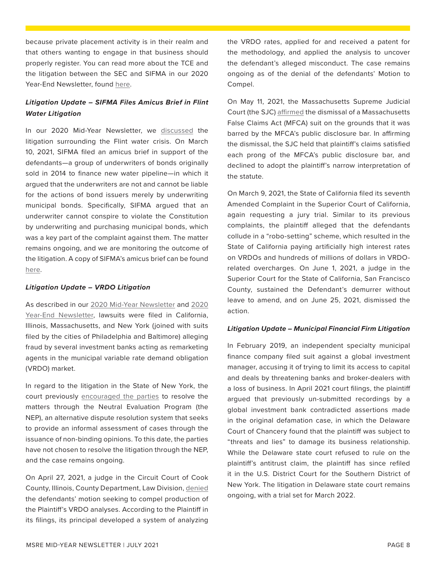because private placement activity is in their realm and that others wanting to engage in that business should properly register. You can read more about the TCE and the litigation between the SEC and SIFMA in our 2020 Year-End Newsletter, found [here.](https://www.ballardspahr.com/-/media/Main/Newsletters/Municipal-Market-Enforcement---01-27-21.pdf?rev=906138a1a32b41ae88d41caf4c71567d)

# *Litigation Update – SIFMA Files Amicus Brief in Flint Water Litigation*

In our 2020 Mid-Year Newsletter, we [discussed](https://www.ballardspahr.com/-/media/Main/Newsletters/Municipal-Market-Enforcement---01-27-21.pdf?rev=906138a1a32b41ae88d41caf4c71567d) the litigation surrounding the Flint water crisis. On March 10, 2021, SIFMA filed an amicus brief in support of the defendants—a group of underwriters of bonds originally sold in 2014 to finance new water pipeline—in which it argued that the underwriters are not and cannot be liable for the actions of bond issuers merely by underwriting municipal bonds. Specifically, SIFMA argued that an underwriter cannot conspire to violate the Constitution by underwriting and purchasing municipal bonds, which was a key part of the complaint against them. The matter remains ongoing, and we are monitoring the outcome of the litigation. A copy of SIFMA's amicus brief can be found [here.](https://www.sifma.org/wp-content/uploads/2021/03/Walters-v.-JP-Morgan-3.10.2021.pdf)

#### *Litigation Update – VRDO Litigation*

As described in our [2020 Mid-Year Newsletter](https://www.ballardspahr.com/-/media/files/municipal-market-enforcement---01-20.pdf?la=en&hash=D9398747D8CF6740DFEE3BD249F12318) and [2020](https://www.ballardspahr.com/-/media/Main/Newsletters/Municipal-Market-Enforcement---01-27-21.pdf?rev=906138a1a32b41ae88d41caf4c71567d) [Year-End Newsletter](https://www.ballardspahr.com/-/media/Main/Newsletters/Municipal-Market-Enforcement---01-27-21.pdf?rev=906138a1a32b41ae88d41caf4c71567d), lawsuits were filed in California, Illinois, Massachusetts, and New York (joined with suits filed by the cities of Philadelphia and Baltimore) alleging fraud by several investment banks acting as remarketing agents in the municipal variable rate demand obligation (VRDO) market.

In regard to the litigation in the State of New York, the court previously [encouraged the parties](https://iapps.courts.state.ny.us/fbem/DocumentDisplayServlet?documentId=24PHjG_PLUS_0XAYp8ioQy7e77Q==&system=prod) to resolve the matters through the Neutral Evaluation Program (the NEP), an alternative dispute resolution system that seeks to provide an informal assessment of cases through the issuance of non-binding opinions. To this date, the parties have not chosen to resolve the litigation through the NEP, and the case remains ongoing.

On April 27, 2021, a judge in the Circuit Court of Cook County, Illinois, County Department, Law Division, [denied](https://www.behnwyetzner.com/wp-content/uploads/2021/04/2021-04-27-Edelweiss-v.-JP-Morgan-stamped.pdf) the defendants' motion seeking to compel production of the Plaintiff's VRDO analyses. According to the Plaintiff in its filings, its principal developed a system of analyzing the VRDO rates, applied for and received a patent for the methodology, and applied the analysis to uncover the defendant's alleged misconduct. The case remains ongoing as of the denial of the defendants' Motion to Compel.

On May 11, 2021, the Massachusetts Supreme Judicial Court (the SJC) [affirmed](https://www.connkavanaugh.com/wp-content/uploads/2021/05/SJC-12973_Corrected_Opinion-2.pdf) the dismissal of a Massachusetts False Claims Act (MFCA) suit on the grounds that it was barred by the MFCA's public disclosure bar. In affirming the dismissal, the SJC held that plaintiff's claims satisfied each prong of the MFCA's public disclosure bar, and declined to adopt the plaintiff's narrow interpretation of the statute.

On March 9, 2021, the State of California filed its seventh Amended Complaint in the Superior Court of California, again requesting a jury trial. Similar to its previous complaints, the plaintiff alleged that the defendants collude in a "robo-setting" scheme, which resulted in the State of California paying artificially high interest rates on VRDOs and hundreds of millions of dollars in VRDOrelated overcharges. On June 1, 2021, a judge in the Superior Court for the State of California, San Francisco County, sustained the Defendant's demurrer without leave to amend, and on June 25, 2021, dismissed the action.

#### *Litigation Update – Municipal Financial Firm Litigation*

In February 2019, an independent specialty municipal finance company filed suit against a global investment manager, accusing it of trying to limit its access to capital and deals by threatening banks and broker-dealers with a loss of business. In April 2021 court filings, the plaintiff argued that previously un-submitted recordings by a global investment bank contradicted assertions made in the original defamation case, in which the Delaware Court of Chancery found that the plaintiff was subject to "threats and lies" to damage its business relationship. While the Delaware state court refused to rule on the plaintiff's antitrust claim, the plaintiff has since refiled it in the U.S. District Court for the Southern District of New York. The litigation in Delaware state court remains ongoing, with a trial set for March 2022.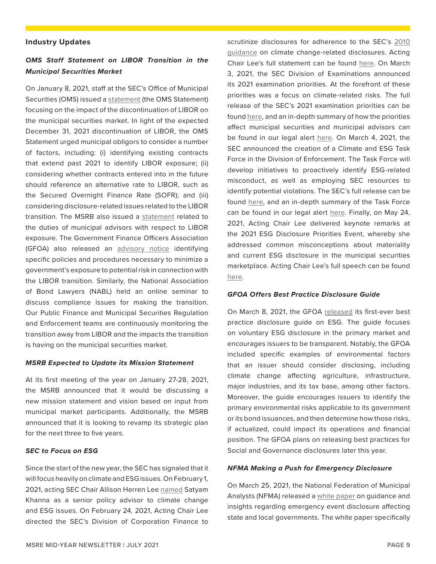#### <span id="page-8-0"></span>**Industry Updates**

#### *OMS Staff Statement on LIBOR Transition in the Municipal Securities Market*

On January 8, 2021, staff at the SEC's Office of Municipal Securities (OMS) issued a [statement](https://www.sec.gov/municipal/oms-staff-statement-libor-transition-municipal-securities-market) (the OMS Statement) focusing on the impact of the discontinuation of LIBOR on the municipal securities market. In light of the expected December 31, 2021 discontinuation of LIBOR, the OMS Statement urged municipal obligors to consider a number of factors, including: (i) identifying existing contracts that extend past 2021 to identify LIBOR exposure; (ii) considering whether contracts entered into in the future should reference an alternative rate to LIBOR, such as the Secured Overnight Finance Rate (SOFR); and (iii) considering disclosure-related issues related to the LIBOR transition. The MSRB also issued a [statement](https://www.msrb.org/Regulated-Entities/Resources/LIBOR-Information) related to the duties of municipal advisors with respect to LIBOR exposure. The Government Finance Officers Association (GFOA) also released an [advisory notice](https://www.gfoa.org/materials/libor-transition) identifying specific policies and procedures necessary to minimize a government's exposure to potential risk in connection with the LIBOR transition. Similarly, the National Association of Bond Lawyers (NABL) held an online seminar to discuss compliance issues for making the transition. Our Public Finance and Municipal Securities Regulation and Enforcement teams are continuously monitoring the transition away from LIBOR and the impacts the transition is having on the municipal securities market.

#### *MSRB Expected to Update its Mission Statement*

At its first meeting of the year on January 27-28, 2021, the MSRB announced that it would be discussing a new mission statement and vision based on input from municipal market participants. Additionally, the MSRB announced that it is looking to revamp its strategic plan for the next three to five years.

#### *SEC to Focus on ESG*

Since the start of the new year, the SEC has signaled that it will focus heavily on climate and ESG issues. On February 1, 2021, acting SEC Chair Allison Herren Lee [named](https://www.sec.gov/news/press-release/2021-20) Satyam Khanna as a senior policy advisor to climate change and ESG issues. On February 24, 2021, Acting Chair Lee directed the SEC's Division of Corporation Finance to

scrutinize disclosures for adherence to the SEC's [2010](https://www.sec.gov/rules/interp/2010/33-9106.pdf)  [guidance](https://www.sec.gov/rules/interp/2010/33-9106.pdf) on climate change-related disclosures. Acting Chair Lee's full statement can be found [here](https://www.sec.gov/news/public-statement/lee-statement-review-climate-related-disclosure?utm_medium=email&utm_source=govdelivery). On March 3, 2021, the SEC Division of Examinations announced its 2021 examination priorities. At the forefront of these priorities was a focus on climate-related risks. The full release of the SEC's 2021 examination priorities can be found [here](https://www.sec.gov/news/press-release/2021-39), and an in-depth summary of how the priorities affect municipal securities and municipal advisors can be found in our legal alert [here](https://www.ballardspahr.com/Insights/Alerts-and-Articles/2021/03/SEC-Enforcement-2021-Exam-Priorities-Focus-on-Municipal-Securities-and-Municipal-Advisors). On March 4, 2021, the SEC announced the creation of a Climate and ESG Task Force in the Division of Enforcement. The Task Force will develop initiatives to proactively identify ESG-related misconduct, as well as employing SEC resources to identify potential violations. The SEC's full release can be found [here](https://www.sec.gov/news/press-release/2021-42), and an in-depth summary of the Task Force can be found in our legal alert here. Finally, on May 24, 2021, Acting Chair Lee delivered keynote remarks at the 2021 ESG Disclosure Priorities Event, whereby she addressed common misconceptions about materiality and current ESG disclosure in the municipal securities marketplace. Acting Chair Lee's full speech can be found [here](https://www.sec.gov/news/speech/lee-living-material-world-052421).

#### *GFOA Offers Best Practice Disclosure Guide*

On March 8, 2021, the GFOA [released](https://www.gfoa.org/materials/esg-disclosure) its first-ever best practice disclosure guide on ESG. The guide focuses on voluntary ESG disclosure in the primary market and encourages issuers to be transparent. Notably, the GFOA included specific examples of environmental factors that an issuer should consider disclosing, including climate change affecting agriculture, infrastructure, major industries, and its tax base, among other factors. Moreover, the guide encourages issuers to identify the primary environmental risks applicable to its government or its bond issuances, and then determine how those risks, if actualized, could impact its operations and financial position. The GFOA plans on releasing best practices for Social and Governance disclosures later this year.

#### *NFMA Making a Push for Emergency Disclosure*

On March 25, 2021, the National Federation of Municipal Analysts (NFMA) released a [white paper](https://www.nfma.org/assets/documents/position.stmt/WPCovidDraftMarch%202021.pdf) on guidance and insights regarding emergency event disclosure affecting state and local governments. The white paper specifically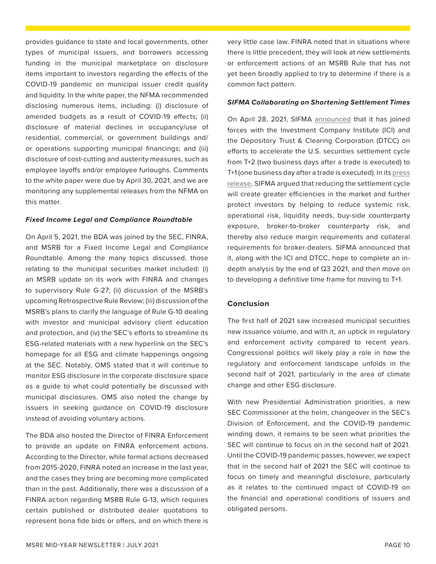provides guidance to state and local governments, other types of municipal issuers, and borrowers accessing funding in the municipal marketplace on disclosure items important to investors regarding the effects of the COVID-19 pandemic on municipal issuer credit quality and liquidity. In the white paper, the NFMA recommended disclosing numerous items, including: (i) disclosure of amended budgets as a result of COVID-19 effects; (ii) disclosure of material declines in occupancy/use of residential, commercial, or government buildings and/ or operations supporting municipal financings; and (iii) disclosure of cost-cutting and austerity measures, such as employee layoffs and/or employee furloughs. Comments to the white paper were due by April 30, 2021, and we are monitoring any supplemental releases from the NFMA on this matter.

#### *Fixed Income Legal and Compliance Roundtable*

On April 5, 2021, the BDA was joined by the SEC, FINRA, and MSRB for a Fixed Income Legal and Compliance Roundtable. Among the many topics discussed, those relating to the municipal securities market included: (i) an MSRB update on its work with FINRA and changes to supervisory Rule G-27; (ii) discussion of the MSRB's upcoming Retrospective Rule Review; (iii) discussion of the MSRB's plans to clarify the language of Rule G-10 dealing with investor and municipal advisory client education and protection, and (iv) the SEC's efforts to streamline its ESG-related materials with a new hyperlink on the SEC's homepage for all ESG and climate happenings ongoing at the SEC. Notably, OMS stated that it will continue to monitor ESG disclosure in the corporate disclosure space as a guide to what could potentially be discussed with municipal disclosures. OMS also noted the change by issuers in seeking guidance on COVID-19 disclosure instead of avoiding voluntary actions.

The BDA also hosted the Director of FINRA Enforcement to provide an update on FINRA enforcement actions. According to the Director, while formal actions decreased from 2015-2020, FINRA noted an increase in the last year, and the cases they bring are becoming more complicated than in the past. Additionally, there was a discussion of a FINRA action regarding MSRB Rule G-13, which requires certain published or distributed dealer quotations to represent bona fide bids or offers, and on which there is very little case law. FINRA noted that in situations where there is little precedent, they will look at new settlements or enforcement actions of an MSRB Rule that has not yet been broadly applied to try to determine if there is a common fact pattern.

#### *SIFMA Collaborating on Shortening Settlement Times*

On April 28, 2021, SIFMA [announced](https://www.sifma.org/resources/news/sifma-ici-and-dtcc-leading-effort-to-shorten-u-s-securities-settlement-cycle-to-t1-collaborating-with-the-industry-on-next-steps/) that it has joined forces with the Investment Company Institute (ICI) and the Depository Trust & Clearing Corporation (DTCC) on efforts to accelerate the U.S. securities settlement cycle from T+2 (two business days after a trade is executed) to T+1 (one business day after a trade is executed). In its [press](https://www.sifma.org/resources/news/a-shorter-settlement-cycle-t1-will-benefit-investors-and-market-participant-firms-by-reducing-systemic-and-operational-risks/) [release,](https://www.sifma.org/resources/news/a-shorter-settlement-cycle-t1-will-benefit-investors-and-market-participant-firms-by-reducing-systemic-and-operational-risks/) SIFMA argued that reducing the settlement cycle will create greater efficiencies in the market and further protect investors by helping to reduce systemic risk, operational risk, liquidity needs, buy-side counterparty exposure, broker-to-broker counterparty risk, and thereby also reduce margin requirements and collateral requirements for broker-dealers. SIFMA announced that it, along with the ICI and DTCC, hope to complete an indepth analysis by the end of Q3 2021, and then move on to developing a definitive time frame for moving to T+1.

#### **Conclusion**

The first half of 2021 saw increased municipal securities new issuance volume, and with it, an uptick in regulatory and enforcement activity compared to recent years. Congressional politics will likely play a role in how the regulatory and enforcement landscape unfolds in the second half of 2021, particularly in the area of climate change and other ESG disclosure.

With new Presidential Administration priorities, a new SEC Commissioner at the helm, changeover in the SEC's Division of Enforcement, and the COVID-19 pandemic winding down, it remains to be seen what priorities the SEC will continue to focus on in the second half of 2021. Until the COVID-19 pandemic passes, however, we expect that in the second half of 2021 the SEC will continue to focus on timely and meaningful disclosure, particularly as it relates to the continued impact of COVID-19 on the financial and operational conditions of issuers and obligated persons.